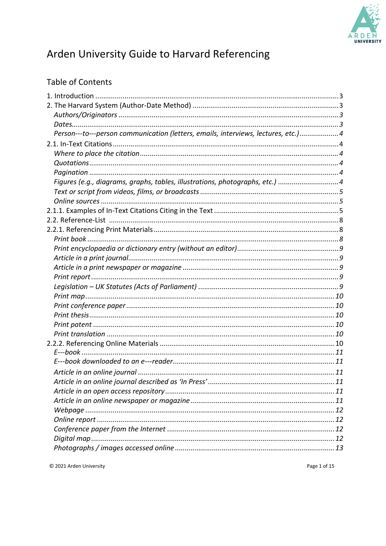

# Arden University Guide to Harvard Referencing

# **Table of Contents**

| Person---to---person communication (letters, emails, interviews, lectures, etc.)4 |  |
|-----------------------------------------------------------------------------------|--|
|                                                                                   |  |
|                                                                                   |  |
|                                                                                   |  |
|                                                                                   |  |
| Figures (e.g., diagrams, graphs, tables, illustrations, photographs, etc.) 4      |  |
|                                                                                   |  |
|                                                                                   |  |
|                                                                                   |  |
|                                                                                   |  |
|                                                                                   |  |
|                                                                                   |  |
|                                                                                   |  |
|                                                                                   |  |
|                                                                                   |  |
|                                                                                   |  |
|                                                                                   |  |
|                                                                                   |  |
|                                                                                   |  |
|                                                                                   |  |
|                                                                                   |  |
|                                                                                   |  |
|                                                                                   |  |
|                                                                                   |  |
|                                                                                   |  |
|                                                                                   |  |
|                                                                                   |  |
|                                                                                   |  |
|                                                                                   |  |
|                                                                                   |  |
|                                                                                   |  |
|                                                                                   |  |
|                                                                                   |  |
|                                                                                   |  |

© 2021 Arden University

Page 1 of 15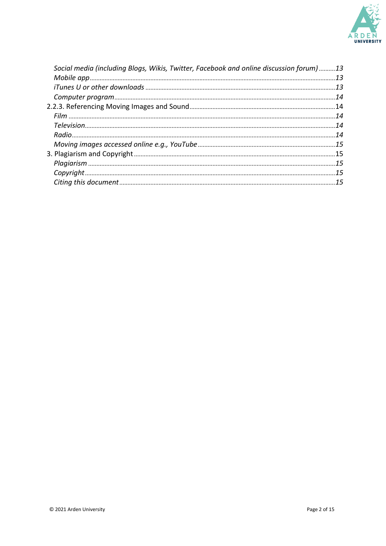

| Social media (including Blogs, Wikis, Twitter, Facebook and online discussion forum)13 |  |
|----------------------------------------------------------------------------------------|--|
|                                                                                        |  |
|                                                                                        |  |
|                                                                                        |  |
|                                                                                        |  |
|                                                                                        |  |
|                                                                                        |  |
|                                                                                        |  |
|                                                                                        |  |
|                                                                                        |  |
|                                                                                        |  |
|                                                                                        |  |
|                                                                                        |  |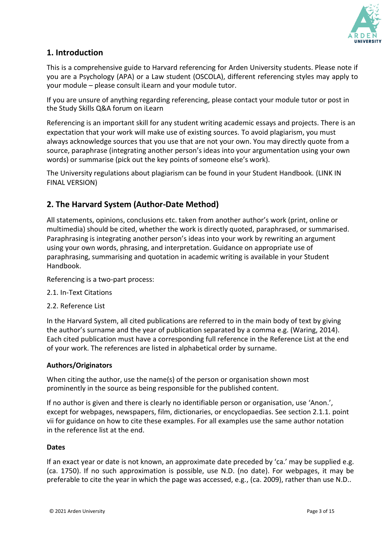

# <span id="page-2-0"></span>**1. Introduction**

This is a comprehensive guide to Harvard referencing for Arden University students. Please note if you are a Psychology (APA) or a Law student (OSCOLA), different referencing styles may apply to your module – please consult iLearn and your module tutor.

If you are unsure of anything regarding referencing, please contact your module tutor or post in the Study Skills Q&A forum on iLearn

Referencing is an important skill for any student writing academic essays and projects. There is an expectation that your work will make use of existing sources. To avoid plagiarism, you must always acknowledge sources that you use that are not your own. You may directly quote from a source, paraphrase (integrating another person's ideas into your argumentation using your own words) or summarise (pick out the key points of someone else's work).

The University regulations about plagiarism can be found in your Student Handbook. (LINK IN FINAL VERSION)

# **2. The Harvard System (Author-Date Method)**

All statements, opinions, conclusions etc. taken from another author's work (print, online or multimedia) should be cited, whether the work is directly quoted, paraphrased, or summarised. Paraphrasing is integrating another person's ideas into your work by rewriting an argument using your own words, phrasing, and interpretation. Guidance on appropriate use of paraphrasing, summarising and quotation in academic writing is available in your Student Handbook.

Referencing is a two-part process:

- 2.1. In-Text Citations
- 2.2. Reference List

In the Harvard System, all cited publications are referred to in the main body of text by giving the author's surname and the year of publication separated by a comma e.g. (Waring, 2014). Each cited publication must have a corresponding full reference in the Reference List at the end of your work. The references are listed in alphabetical order by surname.

#### **Authors/Originators**

When citing the author, use the name(s) of the person or organisation shown most prominently in the source as being responsible for the published content.

If no author is given and there is clearly no identifiable person or organisation, use 'Anon.', except for webpages, newspapers, film, dictionaries, or encyclopaedias. See section 2.1.1. point vii for guidance on how to cite these examples. For all examples use the same author notation in the reference list at the end.

#### **Dates**

If an exact year or date is not known, an approximate date preceded by 'ca.' may be supplied e.g. (ca. 1750). If no such approximation is possible, use N.D. (no date). For webpages, it may be preferable to cite the year in which the page was accessed, e.g., (ca. 2009), rather than use N.D..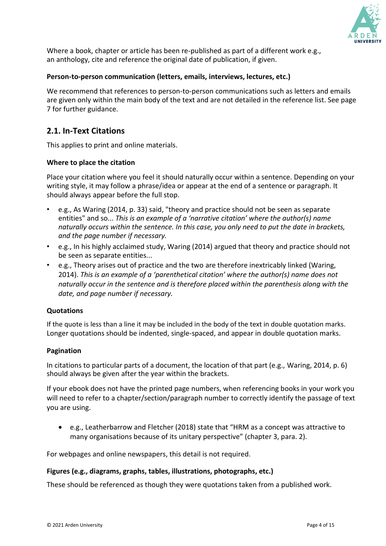

<span id="page-3-0"></span>Where a book, chapter or article has been re-published as part of a different work e.g., an anthology, cite and reference the original date of publication, if given.

#### **Person-to-person communication (letters, emails, interviews, lectures, etc.)**

We recommend that references to person-to-person communications such as letters and emails are given only within the main body of the text and are not detailed in the reference list. See page 7 for further guidance.

# **2.1. In-Text Citations**

This applies to print and online materials.

#### **Where to place the citation**

Place your citation where you feel it should naturally occur within a sentence. Depending on your writing style, it may follow a phrase/idea or appear at the end of a sentence or paragraph. It should always appear before the full stop.

- e.g., As Waring (2014, p. 33) said, "theory and practice should not be seen as separate entities" and so... *This is an example of a 'narrative citation' where the author(s) name naturally occurs within the sentence. In this case, you only need to put the date in brackets, and the page number if necessary.*
- e.g., In his highly acclaimed study, Waring (2014) argued that theory and practice should not be seen as separate entities...
- e.g., Theory arises out of practice and the two are therefore inextricably linked (Waring, 2014). *This is an example of a 'parenthetical citation' where the author(s) name does not naturally occur in the sentence and is therefore placed within the parenthesis along with the date, and page number if necessary.*

#### **Quotations**

If the quote is less than a line it may be included in the body of the text in double quotation marks. Longer quotations should be indented, single-spaced, and appear in double quotation marks.

#### **Pagination**

In citations to particular parts of a document, the location of that part (e.g., Waring, 2014, p. 6) should always be given after the year within the brackets.

If your ebook does not have the printed page numbers, when referencing books in your work you will need to refer to a chapter/section/paragraph number to correctly identify the passage of text you are using.

• e.g., Leatherbarrow and Fletcher (2018) state that "HRM as a concept was attractive to many organisations because of its unitary perspective" (chapter 3, para. 2).

For webpages and online newspapers, this detail is not required.

#### **Figures (e.g., diagrams, graphs, tables, illustrations, photographs, etc.)**

These should be referenced as though they were quotations taken from a published work.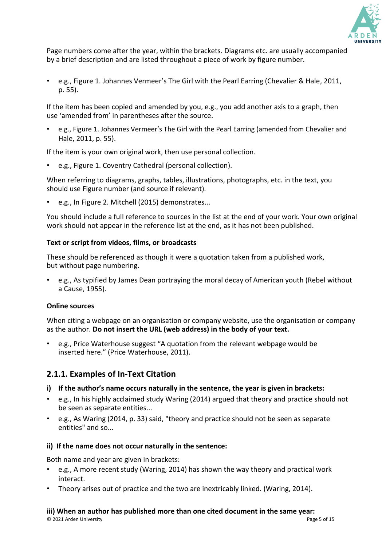

Page numbers come after the year, within the brackets. Diagrams etc. are usually accompanied by a brief description and are listed throughout a piece of work by figure number.

• e.g., Figure 1. Johannes Vermeer's The Girl with the Pearl Earring (Chevalier & Hale, 2011, p. 55).

<span id="page-4-0"></span>If the item has been copied and amended by you, e.g., you add another axis to a graph, then use 'amended from' in parentheses after the source.

• e.g., Figure 1. Johannes Vermeer's The Girl with the Pearl Earring (amended from Chevalier and Hale, 2011, p. 55).

If the item is your own original work, then use personal collection.

• e.g., Figure 1. Coventry Cathedral (personal collection).

When referring to diagrams, graphs, tables, illustrations, photographs, etc. in the text, you should use Figure number (and source if relevant).

• e.g., In Figure 2. Mitchell (2015) demonstrates...

You should include a full reference to sources in the list at the end of your work. Your own original work should not appear in the reference list at the end, as it has not been published.

## **Text or script from videos, films, or broadcasts**

These should be referenced as though it were a quotation taken from a published work, but without page numbering.

• e.g., As typified by James Dean portraying the moral decay of American youth (Rebel without a Cause, 1955).

#### **Online sources**

When citing a webpage on an organisation or company website, use the organisation or company as the author. **Do not insert the URL (web address) in the body of your text.**

• e.g., Price Waterhouse suggest "A quotation from the relevant webpage would be inserted here." (Price Waterhouse, 2011).

# **2.1.1. Examples of In-Text Citation**

#### **i) If the author's name occurs naturally in the sentence, the year is given in brackets:**

- e.g., In his highly acclaimed study Waring (2014) argued that theory and practice should not be seen as separate entities...
- e.g., As Waring (2014, p. 33) said, "theory and practice should not be seen as separate entities" and so...

# **ii) If the name does not occur naturally in the sentence:**

Both name and year are given in brackets:

- e.g., A more recent study (Waring, 2014) has shown the way theory and practical work interact.
- Theory arises out of practice and the two are inextricably linked. (Waring, 2014).

# **iii) When an author has published more than one cited document in the same year:**

© 2021 Arden University Page 5 of 15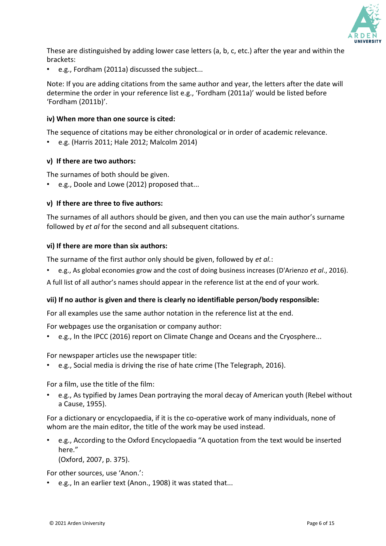

These are distinguished by adding lower case letters (a, b, c, etc.) after the year and within the brackets:

• e.g., Fordham (2011a) discussed the subject...

Note: If you are adding citations from the same author and year, the letters after the date will determine the order in your reference list e.g., 'Fordham (2011a)' would be listed before 'Fordham (2011b)'.

#### **iv) When more than one source is cited:**

The sequence of citations may be either chronological or in order of academic relevance.

• e.g. (Harris 2011; Hale 2012; Malcolm 2014)

#### **v) If there are two authors:**

The surnames of both should be given.

• e.g., Doole and Lowe (2012) proposed that...

#### **v) If there are three to five authors:**

The surnames of all authors should be given, and then you can use the main author's surname followed by *et al* for the second and all subsequent citations.

#### **vi) If there are more than six authors:**

The surname of the first author only should be given, followed by *et al.*:

• e.g., As global economies grow and the cost of doing business increases (D'Arienzo *et al*., 2016).

A full list of all author's names should appear in the reference list at the end of your work.

#### **vii) If no author is given and there is clearly no identifiable person/body responsible:**

For all examples use the same author notation in the reference list at the end.

For webpages use the organisation or company author:

• e.g., In the IPCC (2016) report on Climate Change and Oceans and the Cryosphere...

For newspaper articles use the newspaper title:

• e.g., Social media is driving the rise of hate crime (The Telegraph, 2016).

For a film, use the title of the film:

• e.g., As typified by James Dean portraying the moral decay of American youth (Rebel without a Cause, 1955).

For a dictionary or encyclopaedia, if it is the co-operative work of many individuals, none of whom are the main editor, the title of the work may be used instead.

• e.g., According to the Oxford Encyclopaedia "A quotation from the text would be inserted here."

(Oxford, 2007, p. 375).

For other sources, use 'Anon.':

• e.g., In an earlier text (Anon., 1908) it was stated that...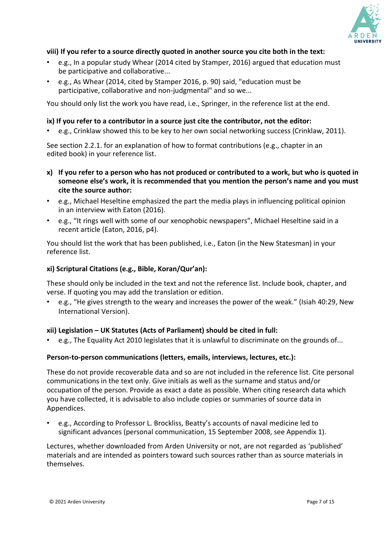

## **viii) If you refer to a source directly quoted in another source you cite both in the text:**

- e.g., In a popular study Whear (2014 cited by Stamper, 2016) argued that education must be participative and collaborative...
- e.g., As Whear (2014, cited by Stamper 2016, p. 90) said, "education must be participative, collaborative and non-judgmental" and so we...

You should only list the work you have read, i.e., Springer, in the reference list at the end.

#### **ix) If you refer to a contributor in a source just cite the contributor, not the editor:**

• e.g., Crinklaw showed this to be key to her own social networking success (Crinklaw, 2011).

See section 2.2.1. for an explanation of how to format contributions (e.g., chapter in an edited book) in your reference list.

- **x) If you refer to a person who has not produced or contributed to a work, but who is quoted in someone else's work, it is recommended that you mention the person's name and you must cite the source author:**
- e.g., Michael Heseltine emphasized the part the media plays in influencing political opinion in an interview with Eaton (2016).
- e.g., "It rings well with some of our xenophobic newspapers", Michael Heseltine said in a recent article (Eaton, 2016, p4).

You should list the work that has been published, i.e., Eaton (in the New Statesman) in your reference list.

#### **xi) Scriptural Citations (e.g., Bible, Koran/Qur'an):**

These should only be included in the text and not the reference list. Include book, chapter, and verse. If quoting you may add the translation or edition.

• e.g., "He gives strength to the weary and increases the power of the weak." (Isiah 40:29, New International Version).

#### **xii) Legislation – UK Statutes (Acts of Parliament) should be cited in full:**

• e.g., The Equality Act 2010 legislates that it is unlawful to discriminate on the grounds of...

#### **Person-to-person communications (letters, emails, interviews, lectures, etc.):**

These do not provide recoverable data and so are not included in the reference list. Cite personal communications in the text only. Give initials as well as the surname and status and/or occupation of the person. Provide as exact a date as possible. When citing research data which you have collected, it is advisable to also include copies or summaries of source data in Appendices.

• e.g., According to Professor L. Brockliss, Beatty's accounts of naval medicine led to significant advances (personal communication, 15 September 2008, see Appendix 1).

Lectures, whether downloaded from Arden University or not, are not regarded as 'published' materials and are intended as pointers toward such sources rather than as source materials in themselves.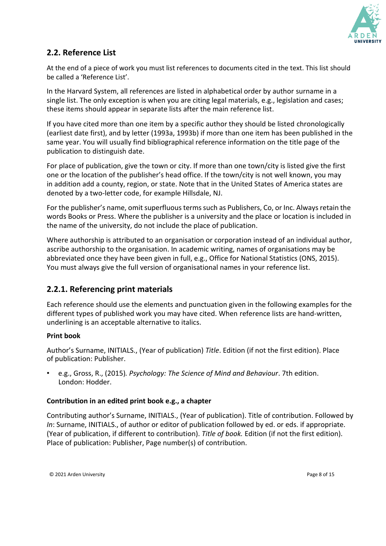

# <span id="page-7-0"></span>**2.2. Reference List**

At the end of a piece of work you must list references to documents cited in the text. This list should be called a 'Reference List'.

In the Harvard System, all references are listed in alphabetical order by author surname in a single list. The only exception is when you are citing legal materials, e.g., legislation and cases; these items should appear in separate lists after the main reference list.

If you have cited more than one item by a specific author they should be listed chronologically (earliest date first), and by letter (1993a, 1993b) if more than one item has been published in the same year. You will usually find bibliographical reference information on the title page of the publication to distinguish date.

For place of publication, give the town or city. If more than one town/city is listed give the first one or the location of the publisher's head office. If the town/city is not well known, you may in addition add a county, region, or state. Note that in the United States of America states are denoted by a two-letter code, for example Hillsdale, NJ.

For the publisher's name, omit superfluous terms such as Publishers, Co, or Inc. Always retain the words Books or Press. Where the publisher is a university and the place or location is included in the name of the university, do not include the place of publication.

Where authorship is attributed to an organisation or corporation instead of an individual author, ascribe authorship to the organisation. In academic writing, names of organisations may be abbreviated once they have been given in full, e.g., Office for National Statistics (ONS, 2015). You must always give the full version of organisational names in your reference list.

# **2.2.1. Referencing print materials**

Each reference should use the elements and punctuation given in the following examples for the different types of published work you may have cited. When reference lists are hand-written, underlining is an acceptable alternative to italics.

# **Print book**

Author's Surname, INITIALS., (Year of publication) *Title*. Edition (if not the first edition). Place of publication: Publisher.

• e.g., Gross, R., (2015)*. Psychology: The Science of Mind and Behaviour*. 7th edition. London: Hodder.

# **Contribution in an edited print book e.g., a chapter**

Contributing author's Surname, INITIALS., (Year of publication). Title of contribution. Followed by *In*: Surname, INITIALS., of author or editor of publication followed by ed. or eds. if appropriate. (Year of publication, if different to contribution). *Title of book.* Edition (if not the first edition)*.* Place of publication: Publisher, Page number(s) of contribution.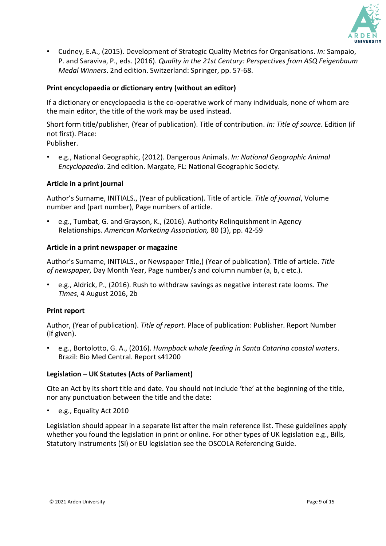

<span id="page-8-0"></span>• Cudney, E.A., (2015). Development of Strategic Quality Metrics for Organisations. *In:* Sampaio, P. and Saraviva, P., eds. (2016). *Quality in the 21st Century: Perspectives from ASQ Feigenbaum Medal Winners*. 2nd edition. Switzerland: Springer, pp. 57-68.

## **Print encyclopaedia or dictionary entry (without an editor)**

If a dictionary or encyclopaedia is the co-operative work of many individuals, none of whom are the main editor, the title of the work may be used instead.

Short form title/publisher, (Year of publication). Title of contribution. *In: Title of source*. Edition (if not first). Place:

Publisher.

• e.g., National Geographic, (2012). Dangerous Animals. *In: National Geographic Animal Encyclopaedia*. 2nd edition. Margate, FL: National Geographic Society.

#### **Article in a print journal**

Author's Surname, INITIALS., (Year of publication). Title of article. *Title of journal*, Volume number and (part number), Page numbers of article.

• e.g., Tumbat, G. and Grayson, K., (2016). Authority Relinquishment in Agency Relationships. *American Marketing Association,* 80 (3), pp. 42-59

#### **Article in a print newspaper or magazine**

Author's Surname, INITIALS., or Newspaper Title,) (Year of publication). Title of article. *Title of newspaper*, Day Month Year, Page number/s and column number (a, b, c etc.).

• e.g., Aldrick, P., (2016). Rush to withdraw savings as negative interest rate looms. *The Times*, 4 August 2016, 2b

#### **Print report**

Author, (Year of publication). *Title of report*. Place of publication: Publisher. Report Number (if given).

• e.g., Bortolotto, G. A., (2016). *Humpback whale feeding in Santa Catarina coastal waters*. Brazil: Bio Med Central. Report s41200

#### **Legislation – UK Statutes (Acts of Parliament)**

Cite an Act by its short title and date. You should not include 'the' at the beginning of the title, nor any punctuation between the title and the date:

e.g., Equality Act 2010

Legislation should appear in a separate list after the main reference list. These guidelines apply whether you found the legislation in print or online. For other types of UK legislation e.g., Bills, Statutory Instruments (SI) or EU legislation see the OSCOLA Referencing Guide.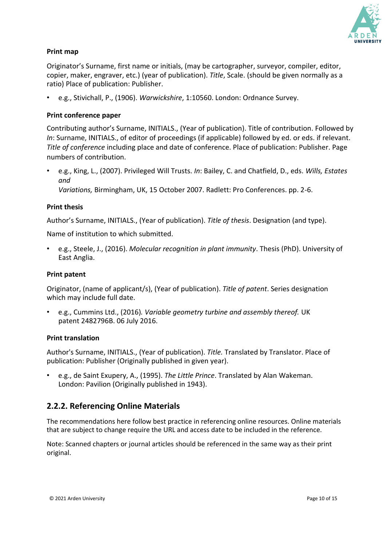

# <span id="page-9-0"></span>**Print map**

Originator's Surname, first name or initials, (may be cartographer, surveyor, compiler, editor, copier, maker, engraver, etc.) (year of publication). *Title*, Scale. (should be given normally as a ratio) Place of publication: Publisher.

• e.g., Stivichall, P., (1906). *Warwickshire*, 1:10560. London: Ordnance Survey.

#### **Print conference paper**

Contributing author's Surname, INITIALS., (Year of publication). Title of contribution. Followed by *In*: Surname, INITIALS., of editor of proceedings (if applicable) followed by ed. or eds. if relevant. *Title of conference* including place and date of conference. Place of publication: Publisher. Page numbers of contribution.

• e.g., King, L., (2007). Privileged Will Trusts. *In*: Bailey, C. and Chatfield, D., eds. *Wills, Estates and Variations,* Birmingham, UK, 15 October 2007. Radlett: Pro Conferences. pp. 2-6.

#### **Print thesis**

Author's Surname, INITIALS., (Year of publication). *Title of thesis*. Designation (and type).

Name of institution to which submitted.

• e.g., Steele, J., (2016). *Molecular recognition in plant immunity*. Thesis (PhD). University of East Anglia.

#### **Print patent**

Originator, (name of applicant/s), (Year of publication). *Title of patent*. Series designation which may include full date.

• e.g., Cummins Ltd., (2016)*. Variable geometry turbine and assembly thereof.* UK patent 2482796B. 06 July 2016.

#### **Print translation**

Author's Surname, INITIALS., (Year of publication). *Title.* Translated by Translator. Place of publication: Publisher (Originally published in given year).

• e.g., de Saint Exupery, A., (1995). *The Little Prince*. Translated by Alan Wakeman. London: Pavilion (Originally published in 1943).

# **2.2.2. Referencing Online Materials**

The recommendations here follow best practice in referencing online resources. Online materials that are subject to change require the URL and access date to be included in the reference.

Note: Scanned chapters or journal articles should be referenced in the same way as their print original.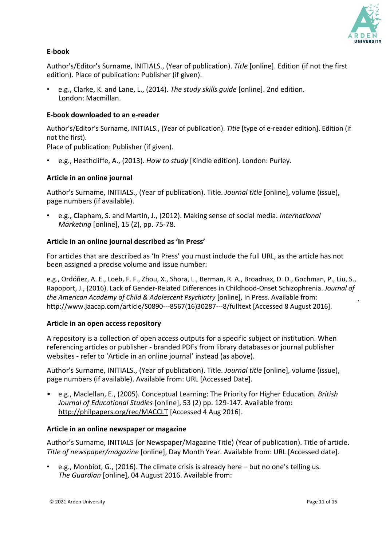

## <span id="page-10-0"></span>**E-book**

Author's/Editor's Surname, INITIALS., (Year of publication). *Title* [online]. Edition (if not the first edition). Place of publication: Publisher (if given).

• e.g., Clarke, K. and Lane, L., (2014). *The study skills guide* [online]. 2nd edition. London: Macmillan.

#### **E-book downloaded to an e-reader**

Author's/Editor's Surname, INITIALS., (Year of publication). *Title* [type of e-reader edition]. Edition (if not the first).

Place of publication: Publisher (if given).

• e.g., Heathcliffe, A., (2013). *How to study* [Kindle edition]. London: Purley.

## **Article in an online journal**

Author's Surname, INITIALS., (Year of publication). Title. *Journal title* [online], volume (issue), page numbers (if available).

• e.g., Clapham, S. and Martin, J., (2012). Making sense of social media. *International Marketing* [online], 15 (2), pp. 75-78.

#### **Article in an online journal described as 'In Press'**

For articles that are described as 'In Press' you must include the full URL, as the article has not been assigned a precise volume and issue number:

e.g., Ordóñez, A. E., Loeb, F. F., Zhou, X., Shora, L., Berman, R. A., Broadnax, D. D., Gochman, P., Liu, S., Rapoport, J., (2016). Lack of Gender-Related Differences in Childhood-Onset Schizophrenia. *Journal of the American Academy of Child & Adolescent Psychiatry* [online], In Press. Available from: [http://www.jaacap.com/article/S0890---8](http://www.jaacap.com/article/S0890-)567(16)30287---8/fulltext [Accessed 8 August 2016].

#### **Article in an open access repository**

A repository is a collection of open access outputs for a specific subject or institution. When referencing articles or publisher - branded PDFs from library databases or journal publisher websites - refer to 'Article in an online journal' instead (as above).

Author's Surname, INITIALS., (Year of publication). Title. *Journal title* [online]*,* volume (issue), page numbers (if available). Available from: URL [Accessed Date].

• e.g., Maclellan, E., (2005). Conceptual Learning: The Priority for Higher Education*. British Journal of Educational Studies* [online], 53 (2) pp. 129-147*.* Available from: <http://philpapers.org/rec/MACCLT> [Accessed 4 Aug 2016].

#### **Article in an online newspaper or magazine**

Author's Surname, INITIALS (or Newspaper/Magazine Title) (Year of publication). Title of article. *Title of newspaper/magazine* [online], Day Month Year. Available from: URL [Accessed date].

<span id="page-10-1"></span>• e.g., Monbiot, G., (2016). The climate crisis is already here – but no one's telling us. *The Guardian* [online], 04 August 2016. Available from: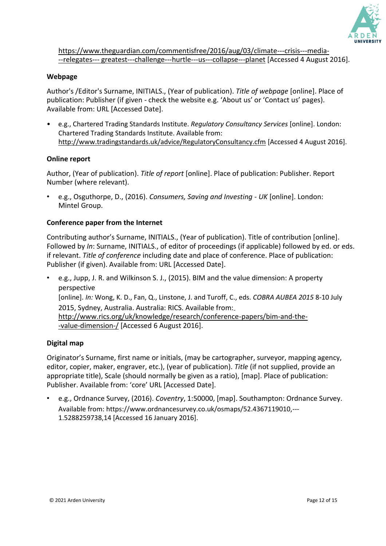

[https://www.theguardian.com/commentisfree/2016/aug/03/climate---c](http://www.theguardian.com/commentisfree/2016/aug/03/climate-)risis---media- --relegates--- greatest---challenge---hurtle---us---collapse---planet [Accessed 4 August 2016].

#### **Webpage**

Author's /Editor's Surname, INITIALS., (Year of publication). *Title of webpage* [online]. Place of publication: Publisher (if given - check the website e.g. 'About us' or 'Contact us' pages). Available from: URL [Accessed Date].

• e.g., Chartered Trading Standards Institute. *Regulatory Consultancy Services* [online]. London: Chartered Trading Standards Institute. Available from: <http://www.tradingstandards.uk/advice/RegulatoryConsultancy.cfm> [Accessed 4 August 2016].

#### **Online report**

Author, (Year of publication). *Title of report* [online]. Place of publication: Publisher. Report Number (where relevant).

• e.g., Osguthorpe, D., (2016). *Consumers, Saving and Investing - UK* [online]. London: Mintel Group.

#### **Conference paper from the Internet**

Contributing author's Surname, INITIALS., (Year of publication). Title of contribution [online]. Followed by *In*: Surname, INITIALS., of editor of proceedings (if applicable) followed by ed. or eds. if relevant. *Title of conference* including date and place of conference. Place of publication: Publisher (if given). Available from: URL [Accessed Date].

• e.g., Jupp, J. R. and Wilkinson S. J., (2015). BIM and the value dimension: A property perspective [online]. *In:* Wong, K. D., Fan, Q., Linstone, J. and Turoff, C., eds. *COBRA AUBEA 2015* 8-10 July 2015, Sydney, Australia. Australia: RICS. Available from: http://www.rics.org/uk/knowledge/research/conference-papers/bim-and-the- -value-dimension-/ [Accessed 6 August 2016].

#### **Digital map**

Originator's Surname, first name or initials, (may be cartographer, surveyor, mapping agency, editor, copier, maker, engraver, etc.), (year of publication). *Title* (if not supplied, provide an appropriate title), Scale (should normally be given as a ratio), [map]. Place of publication: Publisher. Available from: 'core' URL [Accessed Date].

• e.g., Ordnance Survey, (2016). *Coventry*, 1:50000, [map]. Southampton: Ordnance Survey. Available from[: https://www.ordnancesurvey.co.uk/osmaps/52.4367119010,---](http://www.ordnancesurvey.co.uk/osmaps/52.4367119010%2C-) 1.5288259738,14 [Accessed 16 January 2016].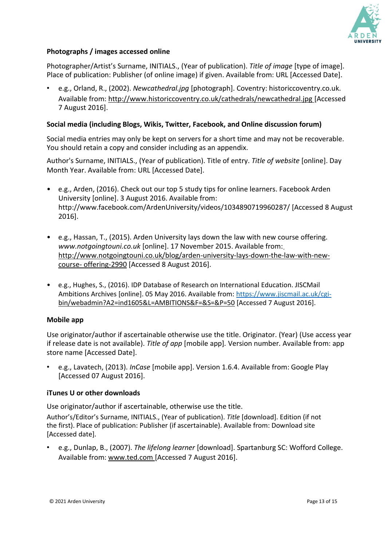

## <span id="page-12-0"></span>**Photographs / images accessed online**

Photographer/Artist's Surname, INITIALS., (Year of publication). *Title of image* [type of image]. Place of publication: Publisher (of online image) if given. Available from: URL [Accessed Date].

• e.g., Orland, R., (2002). *Newcathedral.jpg* [photograph]. Coventry: historiccoventry.co.uk. Available from: [http://www.historiccoventry.co.uk/cathedrals/newcathedral.jpg \[](http://www.historiccoventry.co.uk/cathedrals/newcathedral.jpg)Accessed 7 August 2016].

#### **Social media (including Blogs, Wikis, Twitter, Facebook, and Online discussion forum)**

Social media entries may only be kept on servers for a short time and may not be recoverable. You should retain a copy and consider including as an appendix.

Author's Surname, INITIALS., (Year of publication). Title of entry. *Title of website* [online]. Day Month Year. Available from: URL [Accessed Date].

- e.g., Arden, (2016). Check out our top 5 study tips for online learners. Facebook Arden University [online]. 3 August 2016. Available from: [http://www.facebook.com/ArdenUniversity/videos/1034890719960287/ \[](http://www.facebook.com/ArdenUniversity/videos/1034890719960287/)Accessed 8 August 2016].
- e.g., Hassan, T., (2015). Arden University lays down the law with new course offering. *[www.notgoingtouni.co.uk](http://www.notgoingtouni.co.uk/)* [online]. 17 November 2015. Available from: http://www.notgoingtouni.co.uk/blog/arden-university-lays-down-the-law-with-newcourse- offering-2990 [Accessed 8 August 2016].
- e.g., Hughes, S., (2016). IDP Database of Research on International Education. JISCMail Ambitions Archives [online]. 05 May 2016. Available from: [https://www.jiscmail.ac.uk/cgi](https://www.jiscmail.ac.uk/cgi-)bin/webadmin?A2=ind1605&L=AMBITIONS&F=&S=&P=50 [Accessed 7 August 2016].

#### **Mobile app**

Use originator/author if ascertainable otherwise use the title. Originator. (Year) (Use access year if release date is not available). *Title of app* [mobile app]*.* Version number*.* Available from: app store name [Accessed Date].

• e.g., Lavatech, (2013). *InCase* [mobile app]. Version 1.6.4. Available from: Google Play [Accessed 07 August 2016].

#### **iTunes U or other downloads**

Use originator/author if ascertainable, otherwise use the title.

Author's/Editor's Surname, INITIALS., (Year of publication). *Title* [download]. Edition (if not the first). Place of publication: Publisher (if ascertainable). Available from: Download site [Accessed date].

• e.g., Dunlap, B., (2007). *The lifelong learner* [download]. Spartanburg SC: Wofford College. Available from: [www.ted.com \[](http://www.ted.com/)Accessed 7 August 2016].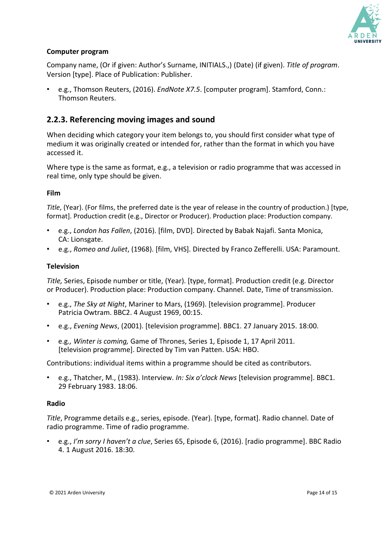

# **Computer program**

Company name, (Or if given: Author's Surname, INITIALS.,) (Date) (if given). *Title of program*. Version [type]. Place of Publication: Publisher.

• e.g., Thomson Reuters, (2016). *EndNote X7.5*. [computer program]. Stamford, Conn.: Thomson Reuters.

# **2.2.3. Referencing moving images and sound**

When deciding which category your item belongs to, you should first consider what type of medium it was originally created or intended for, rather than the format in which you have accessed it.

Where type is the same as format, e.g., a television or radio programme that was accessed in real time, only type should be given.

#### **Film**

*Title*, (Year). (For films, the preferred date is the year of release in the country of production.) [type, format]. Production credit (e.g., Director or Producer). Production place: Production company.

- e.g., *London has Fallen*, (2016). [film, DVD]. Directed by Babak Najafi. Santa Monica, CA: Lionsgate.
- e.g., *Romeo and Juliet*, (1968). [film, VHS]. Directed by Franco Zefferelli. USA: Paramount.

#### **Television**

*Title,* Series, Episode number or title, (Year). [type, format]. Production credit (e.g. Director or Producer). Production place: Production company. Channel. Date, Time of transmission.

- e.g., *The Sky at Night*, Mariner to Mars, (1969). [television programme]. Producer Patricia Owtram. BBC2. 4 August 1969, 00:15.
- e.g., *Evening News*, (2001). [television programme]. BBC1. 27 January 2015. 18:00.
- e.g*., Winter is coming,* Game of Thrones, Series 1, Episode 1, 17 April 2011. [television programme]. Directed by Tim van Patten. USA: HBO.

Contributions: individual items within a programme should be cited as contributors.

• e.g., Thatcher, M., (1983). Interview. *In: Six o'clock News* [television programme]. BBC1. 29 February 1983. 18:06.

#### **Radio**

*Title*, Programme details e.g., series, episode. (Year). [type, format]. Radio channel. Date of radio programme. Time of radio programme.

• e.g., *I'm sorry I haven't a clue*, Series 65, Episode 6, (2016). [radio programme]. BBC Radio 4. 1 August 2016. 18:30.